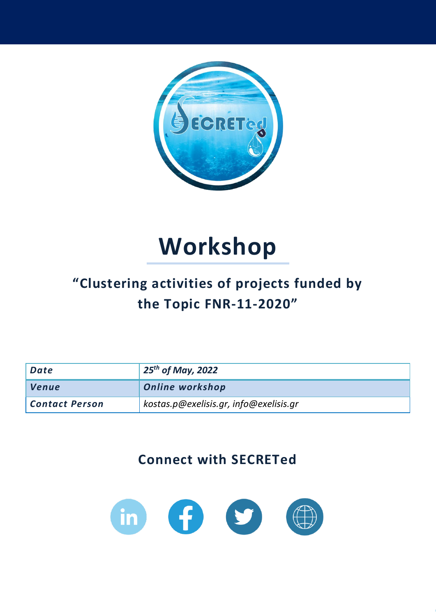

## **Workshop**

## **"Clustering activities of projects funded by the Topic FNR-11-2020"**

| Date           | $25^{\mathsf{th}}$ of May, 2022        |  |
|----------------|----------------------------------------|--|
| <b>Venue</b>   | <b>Online workshop</b>                 |  |
| Contact Person | kostas.p@exelisis.gr, info@exelisis.gr |  |

## **Connect with SECRETed**